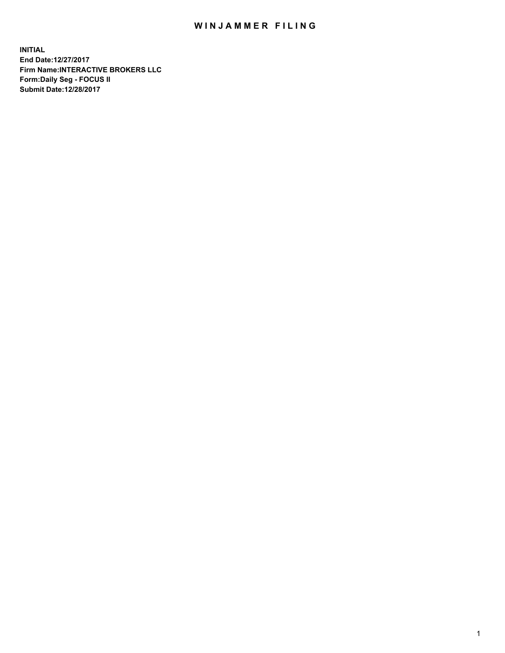## WIN JAMMER FILING

**INITIAL End Date:12/27/2017 Firm Name:INTERACTIVE BROKERS LLC Form:Daily Seg - FOCUS II Submit Date:12/28/2017**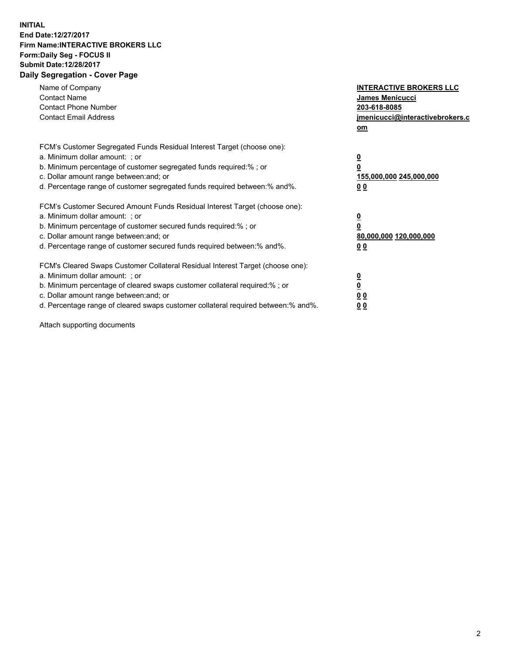## **INITIAL End Date:12/27/2017 Firm Name:INTERACTIVE BROKERS LLC Form:Daily Seg - FOCUS II Submit Date:12/28/2017 Daily Segregation - Cover Page**

| Name of Company<br><b>Contact Name</b><br><b>Contact Phone Number</b><br><b>Contact Email Address</b>                                                                                                                                                                                                                          | <b>INTERACTIVE BROKERS LLC</b><br><b>James Menicucci</b><br>203-618-8085<br>jmenicucci@interactivebrokers.c<br>om |
|--------------------------------------------------------------------------------------------------------------------------------------------------------------------------------------------------------------------------------------------------------------------------------------------------------------------------------|-------------------------------------------------------------------------------------------------------------------|
| FCM's Customer Segregated Funds Residual Interest Target (choose one):<br>a. Minimum dollar amount: ; or<br>b. Minimum percentage of customer segregated funds required:%; or<br>c. Dollar amount range between: and; or<br>d. Percentage range of customer segregated funds required between:% and%.                          | $\overline{\mathbf{0}}$<br>0<br>155,000,000 245,000,000<br>0 <sub>0</sub>                                         |
| FCM's Customer Secured Amount Funds Residual Interest Target (choose one):<br>a. Minimum dollar amount: ; or<br>b. Minimum percentage of customer secured funds required:%; or<br>c. Dollar amount range between: and; or<br>d. Percentage range of customer secured funds required between: % and %.                          | $\overline{\mathbf{0}}$<br>0<br>80,000,000 120,000,000<br>0 <sub>0</sub>                                          |
| FCM's Cleared Swaps Customer Collateral Residual Interest Target (choose one):<br>a. Minimum dollar amount: ; or<br>b. Minimum percentage of cleared swaps customer collateral required:% ; or<br>c. Dollar amount range between: and; or<br>d. Percentage range of cleared swaps customer collateral required between:% and%. | $\overline{\mathbf{0}}$<br>$\overline{\mathbf{0}}$<br>0 <sub>0</sub><br><u>00</u>                                 |

Attach supporting documents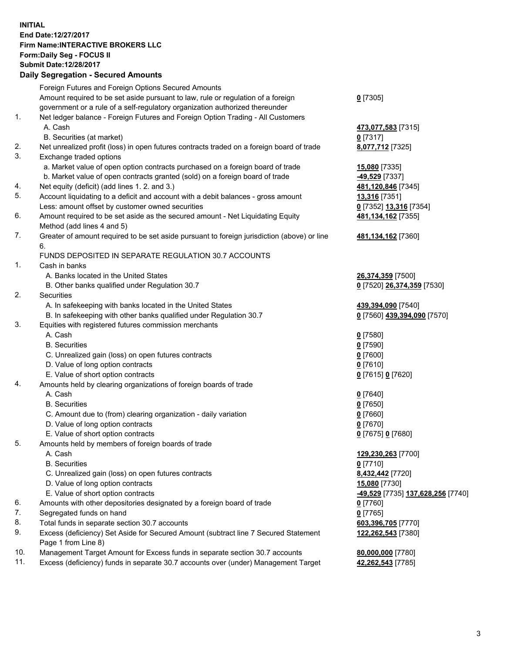## **INITIAL End Date:12/27/2017 Firm Name:INTERACTIVE BROKERS LLC Form:Daily Seg - FOCUS II Submit Date:12/28/2017 Daily Segregation - Secured Amounts**

|                | Daily Jegregation - Jeculed Aniounts                                                                       |                                   |
|----------------|------------------------------------------------------------------------------------------------------------|-----------------------------------|
|                | Foreign Futures and Foreign Options Secured Amounts                                                        |                                   |
|                | Amount required to be set aside pursuant to law, rule or regulation of a foreign                           | $0$ [7305]                        |
|                | government or a rule of a self-regulatory organization authorized thereunder                               |                                   |
| 1.             | Net ledger balance - Foreign Futures and Foreign Option Trading - All Customers                            |                                   |
|                | A. Cash                                                                                                    | 473,077,583 [7315]                |
|                | B. Securities (at market)                                                                                  | 0 [7317]                          |
| 2.             | Net unrealized profit (loss) in open futures contracts traded on a foreign board of trade                  | 8,077,712 [7325]                  |
| 3.             | Exchange traded options                                                                                    |                                   |
|                | a. Market value of open option contracts purchased on a foreign board of trade                             | <b>15,080</b> [7335]              |
|                | b. Market value of open contracts granted (sold) on a foreign board of trade                               | -49,529 [7337]                    |
| 4.             | Net equity (deficit) (add lines 1.2. and 3.)                                                               | 481,120,846 [7345]                |
| 5.             | Account liquidating to a deficit and account with a debit balances - gross amount                          | 13,316 [7351]                     |
|                | Less: amount offset by customer owned securities                                                           | 0 [7352] 13,316 [7354]            |
| 6.             | Amount required to be set aside as the secured amount - Net Liquidating Equity                             | 481, 134, 162 [7355]              |
|                | Method (add lines 4 and 5)                                                                                 |                                   |
| 7.             | Greater of amount required to be set aside pursuant to foreign jurisdiction (above) or line                | 481,134,162 [7360]                |
|                | 6.                                                                                                         |                                   |
|                | FUNDS DEPOSITED IN SEPARATE REGULATION 30.7 ACCOUNTS                                                       |                                   |
| $\mathbf{1}$ . | Cash in banks                                                                                              |                                   |
|                | A. Banks located in the United States                                                                      | 26,374,359 [7500]                 |
|                | B. Other banks qualified under Regulation 30.7                                                             | 0 [7520] 26,374,359 [7530]        |
| 2.             | Securities                                                                                                 |                                   |
|                | A. In safekeeping with banks located in the United States                                                  | 439,394,090 [7540]                |
|                | B. In safekeeping with other banks qualified under Regulation 30.7                                         | 0 [7560] 439,394,090 [7570]       |
| 3.             | Equities with registered futures commission merchants                                                      |                                   |
|                | A. Cash                                                                                                    | $0$ [7580]                        |
|                | <b>B.</b> Securities                                                                                       | $0$ [7590]                        |
|                | C. Unrealized gain (loss) on open futures contracts                                                        | $0$ [7600]                        |
|                | D. Value of long option contracts                                                                          | $0$ [7610]                        |
|                | E. Value of short option contracts                                                                         | 0 [7615] 0 [7620]                 |
| 4.             | Amounts held by clearing organizations of foreign boards of trade                                          |                                   |
|                | A. Cash                                                                                                    | $0$ [7640]                        |
|                | <b>B.</b> Securities                                                                                       | $0$ [7650]                        |
|                | C. Amount due to (from) clearing organization - daily variation                                            | $0$ [7660]                        |
|                | D. Value of long option contracts                                                                          | $0$ [7670]                        |
|                | E. Value of short option contracts                                                                         | 0 [7675] 0 [7680]                 |
| 5.             | Amounts held by members of foreign boards of trade                                                         |                                   |
|                | A. Cash                                                                                                    | 129,230,263 [7700]                |
|                | <b>B.</b> Securities                                                                                       | $0$ [7710]                        |
|                | C. Unrealized gain (loss) on open futures contracts                                                        | 8,432,442 [7720]                  |
|                | D. Value of long option contracts                                                                          | 15,080 [7730]                     |
|                | E. Value of short option contracts                                                                         | -49,529 [7735] 137,628,256 [7740] |
| 6.             | Amounts with other depositories designated by a foreign board of trade                                     | 0 [7760]                          |
| 7.             | Segregated funds on hand                                                                                   | $0$ [7765]                        |
| 8.             | Total funds in separate section 30.7 accounts                                                              | 603,396,705 [7770]                |
| 9.             | Excess (deficiency) Set Aside for Secured Amount (subtract line 7 Secured Statement<br>Page 1 from Line 8) | 122,262,543 [7380]                |
| 10.            | Management Target Amount for Excess funds in separate section 30.7 accounts                                | 80,000,000 [7780]                 |
| 11.            | Excess (deficiency) funds in separate 30.7 accounts over (under) Management Target                         | 42,262,543 [7785]                 |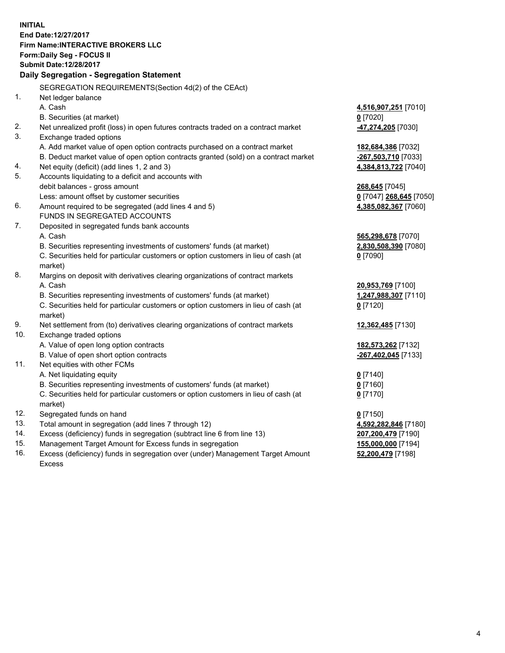**INITIAL End Date:12/27/2017 Firm Name:INTERACTIVE BROKERS LLC Form:Daily Seg - FOCUS II Submit Date:12/28/2017 Daily Segregation - Segregation Statement** SEGREGATION REQUIREMENTS(Section 4d(2) of the CEAct) 1. Net ledger balance A. Cash **4,516,907,251** [7010] B. Securities (at market) **0** [7020] 2. Net unrealized profit (loss) in open futures contracts traded on a contract market **-47,274,205** [7030] 3. Exchange traded options A. Add market value of open option contracts purchased on a contract market **182,684,386** [7032] B. Deduct market value of open option contracts granted (sold) on a contract market **-267,503,710** [7033] 4. Net equity (deficit) (add lines 1, 2 and 3) **4,384,813,722** [7040] 5. Accounts liquidating to a deficit and accounts with debit balances - gross amount **268,645** [7045] Less: amount offset by customer securities **0** [7047] **268,645** [7050] 6. Amount required to be segregated (add lines 4 and 5) **4,385,082,367** [7060] FUNDS IN SEGREGATED ACCOUNTS 7. Deposited in segregated funds bank accounts A. Cash **565,298,678** [7070] B. Securities representing investments of customers' funds (at market) **2,830,508,390** [7080] C. Securities held for particular customers or option customers in lieu of cash (at market) **0** [7090] 8. Margins on deposit with derivatives clearing organizations of contract markets A. Cash **20,953,769** [7100] B. Securities representing investments of customers' funds (at market) **1,247,988,307** [7110] C. Securities held for particular customers or option customers in lieu of cash (at market) **0** [7120] 9. Net settlement from (to) derivatives clearing organizations of contract markets **12,362,485** [7130] 10. Exchange traded options A. Value of open long option contracts **182,573,262** [7132] B. Value of open short option contracts **-267,402,045** [7133] 11. Net equities with other FCMs A. Net liquidating equity **0** [7140] B. Securities representing investments of customers' funds (at market) **0** [7160] C. Securities held for particular customers or option customers in lieu of cash (at market) **0** [7170] 12. Segregated funds on hand **0** [7150] 13. Total amount in segregation (add lines 7 through 12) **4,592,282,846** [7180] 14. Excess (deficiency) funds in segregation (subtract line 6 from line 13) **207,200,479** [7190] 15. Management Target Amount for Excess funds in segregation **155,000,000** [7194]

16. Excess (deficiency) funds in segregation over (under) Management Target Amount Excess

**52,200,479** [7198]